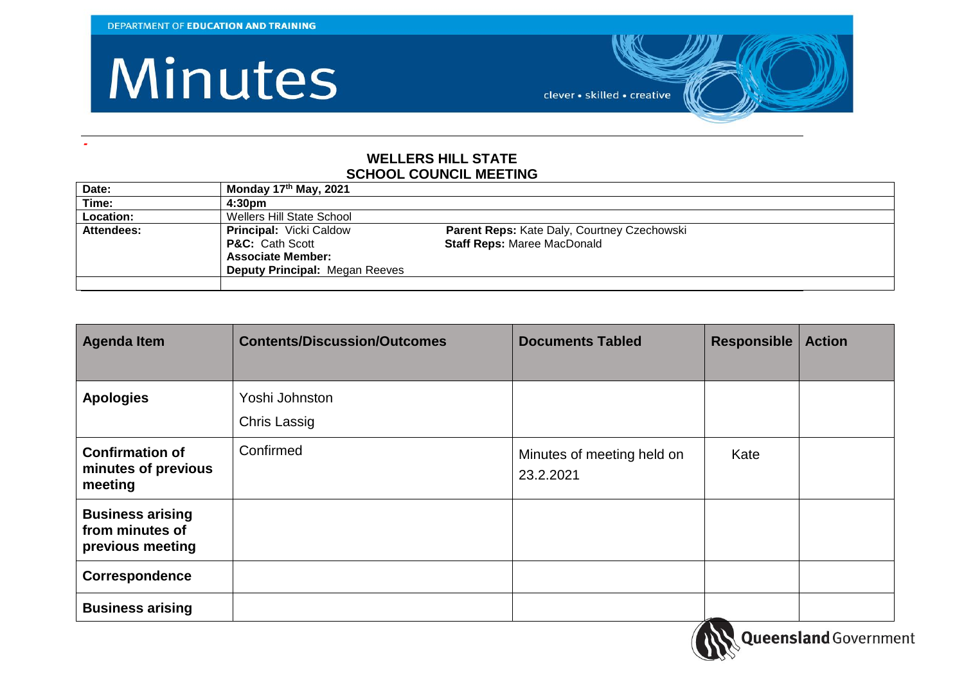**-**

### Minutes

clever • skilled • creative

#### **WELLERS HILL STATE SCHOOL COUNCIL MEETING**

| Date:      | Monday 17 <sup>th</sup> May, 2021     |                                             |
|------------|---------------------------------------|---------------------------------------------|
| Time:      | 4:30 <sub>pm</sub>                    |                                             |
| Location:  | Wellers Hill State School             |                                             |
| Attendees: | <b>Principal: Vicki Caldow</b>        | Parent Reps: Kate Daly, Courtney Czechowski |
|            | <b>P&amp;C:</b> Cath Scott            | <b>Staff Reps: Maree MacDonald</b>          |
|            | <b>Associate Member:</b>              |                                             |
|            | <b>Deputy Principal: Megan Reeves</b> |                                             |
|            |                                       |                                             |

| <b>Agenda Item</b>                                             | <b>Contents/Discussion/Outcomes</b> | <b>Documents Tabled</b>                 | Responsible | <b>Action</b> |
|----------------------------------------------------------------|-------------------------------------|-----------------------------------------|-------------|---------------|
| <b>Apologies</b>                                               | Yoshi Johnston<br>Chris Lassig      |                                         |             |               |
| <b>Confirmation of</b><br>minutes of previous<br>meeting       | Confirmed                           | Minutes of meeting held on<br>23.2.2021 | Kate        |               |
| <b>Business arising</b><br>from minutes of<br>previous meeting |                                     |                                         |             |               |
| Correspondence                                                 |                                     |                                         |             |               |
| <b>Business arising</b>                                        |                                     |                                         |             |               |

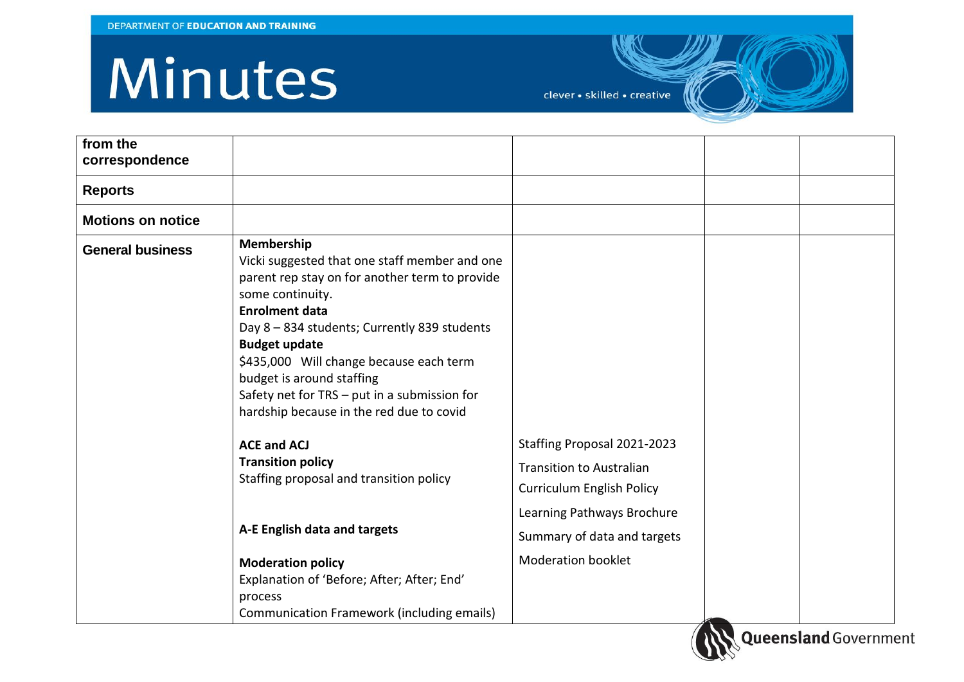# Minutes

clever • skilled • creative

| from the<br>correspondence |                                                                                                                                                                                                                                                                                                                                                                                                        |                                                           |  |
|----------------------------|--------------------------------------------------------------------------------------------------------------------------------------------------------------------------------------------------------------------------------------------------------------------------------------------------------------------------------------------------------------------------------------------------------|-----------------------------------------------------------|--|
| <b>Reports</b>             |                                                                                                                                                                                                                                                                                                                                                                                                        |                                                           |  |
| <b>Motions on notice</b>   |                                                                                                                                                                                                                                                                                                                                                                                                        |                                                           |  |
| <b>General business</b>    | Membership<br>Vicki suggested that one staff member and one<br>parent rep stay on for another term to provide<br>some continuity.<br><b>Enrolment data</b><br>Day 8 - 834 students; Currently 839 students<br><b>Budget update</b><br>\$435,000 Will change because each term<br>budget is around staffing<br>Safety net for TRS - put in a submission for<br>hardship because in the red due to covid |                                                           |  |
|                            | <b>ACE and ACJ</b>                                                                                                                                                                                                                                                                                                                                                                                     | Staffing Proposal 2021-2023                               |  |
|                            | <b>Transition policy</b><br>Staffing proposal and transition policy                                                                                                                                                                                                                                                                                                                                    | <b>Transition to Australian</b>                           |  |
|                            |                                                                                                                                                                                                                                                                                                                                                                                                        | <b>Curriculum English Policy</b>                          |  |
|                            | A-E English data and targets                                                                                                                                                                                                                                                                                                                                                                           | Learning Pathways Brochure<br>Summary of data and targets |  |
|                            | <b>Moderation policy</b>                                                                                                                                                                                                                                                                                                                                                                               | <b>Moderation booklet</b>                                 |  |
|                            | Explanation of 'Before; After; After; End'                                                                                                                                                                                                                                                                                                                                                             |                                                           |  |
|                            | process<br>Communication Framework (including emails)                                                                                                                                                                                                                                                                                                                                                  |                                                           |  |

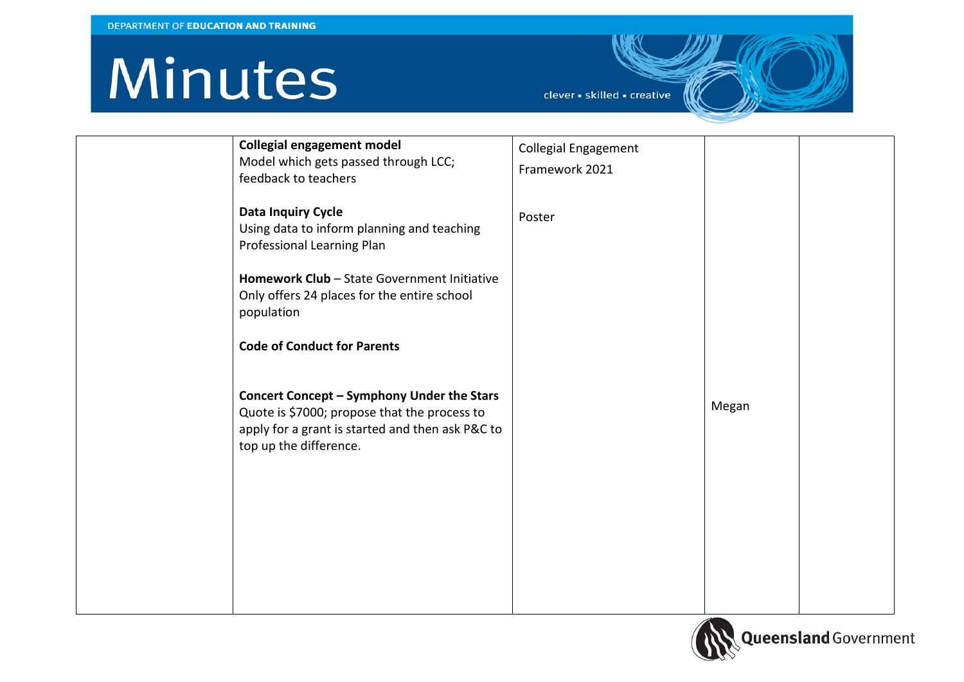## Minutes

clever · skilled · creative

| <b>Collegial engagement model</b>                | <b>Collegial Engagement</b> |       |  |
|--------------------------------------------------|-----------------------------|-------|--|
| Model which gets passed through LCC;             | Framework 2021              |       |  |
| feedback to teachers                             |                             |       |  |
|                                                  |                             |       |  |
| <b>Data Inquiry Cycle</b>                        | Poster                      |       |  |
| Using data to inform planning and teaching       |                             |       |  |
| Professional Learning Plan                       |                             |       |  |
|                                                  |                             |       |  |
| Homework Club - State Government Initiative      |                             |       |  |
| Only offers 24 places for the entire school      |                             |       |  |
| population                                       |                             |       |  |
|                                                  |                             |       |  |
| <b>Code of Conduct for Parents</b>               |                             |       |  |
|                                                  |                             |       |  |
|                                                  |                             |       |  |
| Concert Concept - Symphony Under the Stars       |                             |       |  |
| Quote is \$7000; propose that the process to     |                             | Megan |  |
| apply for a grant is started and then ask P&C to |                             |       |  |
| top up the difference.                           |                             |       |  |
|                                                  |                             |       |  |
|                                                  |                             |       |  |
|                                                  |                             |       |  |
|                                                  |                             |       |  |
|                                                  |                             |       |  |
|                                                  |                             |       |  |
|                                                  |                             |       |  |
|                                                  |                             |       |  |
|                                                  |                             |       |  |
|                                                  |                             |       |  |